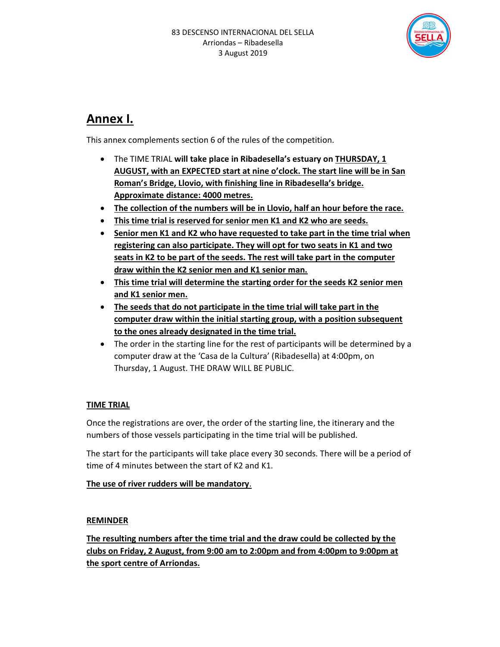

## Annex I.

This annex complements section 6 of the rules of the competition.

- The TIME TRIAL will take place in Ribadesella's estuary on THURSDAY, 1 AUGUST, with an EXPECTED start at nine o'clock. The start line will be in San Roman's Bridge, Llovio, with finishing line in Ribadesella's bridge. Approximate distance: 4000 metres.
- The collection of the numbers will be in Llovio, half an hour before the race.
- This time trial is reserved for senior men K1 and K2 who are seeds.
- Senior men K1 and K2 who have requested to take part in the time trial when registering can also participate. They will opt for two seats in K1 and two seats in K2 to be part of the seeds. The rest will take part in the computer draw within the K2 senior men and K1 senior man.
- This time trial will determine the starting order for the seeds K2 senior men and K1 senior men.
- The seeds that do not participate in the time trial will take part in the computer draw within the initial starting group, with a position subsequent to the ones already designated in the time trial.
- The order in the starting line for the rest of participants will be determined by a computer draw at the 'Casa de la Cultura' (Ribadesella) at 4:00pm, on Thursday, 1 August. THE DRAW WILL BE PUBLIC.

### TIME TRIAL

Once the registrations are over, the order of the starting line, the itinerary and the numbers of those vessels participating in the time trial will be published.

The start for the participants will take place every 30 seconds. There will be a period of time of 4 minutes between the start of K2 and K1.

The use of river rudders will be mandatory.

#### REMINDER

The resulting numbers after the time trial and the draw could be collected by the clubs on Friday, 2 August, from 9:00 am to 2:00pm and from 4:00pm to 9:00pm at the sport centre of Arriondas.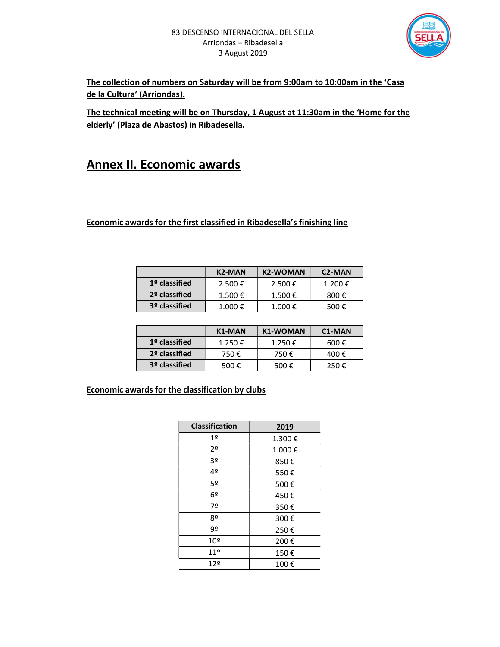

The collection of numbers on Saturday will be from 9:00am to 10:00am in the 'Casa de la Cultura' (Arriondas).

The technical meeting will be on Thursday, 1 August at 11:30am in the 'Home for the elderly' (Plaza de Abastos) in Ribadesella.

## Annex II. Economic awards

#### Economic awards for the first classified in Ribadesella's finishing line

|                            | K <sub>2</sub> -MAN | <b>K2-WOMAN</b> | C <sub>2</sub> -MAN |
|----------------------------|---------------------|-----------------|---------------------|
| $1°$ classified<br>2.500 € |                     | 2.500 €         | 1.200€              |
| 2º classified              | $1.500 \notin$      | 1.500€          | 800€                |
| 3 <sup>o</sup> classified  | 1.000€              | 1.000€          | 500€                |

|                            | K1-MAN | <b>K1-WOMAN</b> | C <sub>1</sub> -MAN |
|----------------------------|--------|-----------------|---------------------|
| $19$ classified<br>1.250 € |        | 1.250€          | 600 $\epsilon$      |
| 2º classified              | 750€   | 750€            | 400€                |
| 3º classified              | 500€   | 500 $\epsilon$  | 250 $\epsilon$      |

#### Economic awards for the classification by clubs

| <b>Classification</b> | 2019   |
|-----------------------|--------|
| 1 <sup>°</sup>        | 1.300€ |
| 2º                    | 1.000€ |
| 3º                    | 850€   |
| 4º                    | 550€   |
| 5º                    | 500€   |
| 6º                    | 450€   |
| 7º                    | 350€   |
| 8º                    | 300€   |
| 92                    | 250€   |
| 10º                   | 200€   |
| 119                   | 150€   |
| 12º                   | 100€   |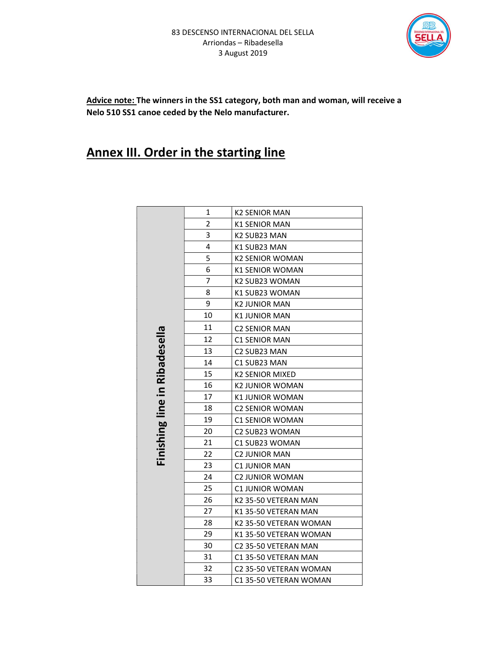

Advice note: The winners in the SS1 category, both man and woman, will receive a Nelo 510 SS1 canoe ceded by the Nelo manufacturer.

# **Annex III. Order in the starting line**

|                               | 1  | <b>K2 SENIOR MAN</b>   |
|-------------------------------|----|------------------------|
|                               | 2  | <b>K1 SENIOR MAN</b>   |
|                               | 3  | K2 SUB23 MAN           |
|                               | 4  | K1 SUB23 MAN           |
|                               | 5  | <b>K2 SENIOR WOMAN</b> |
|                               | 6  | <b>K1 SENIOR WOMAN</b> |
|                               | 7  | K2 SUB23 WOMAN         |
|                               | 8  | K1 SUB23 WOMAN         |
|                               | 9  | <b>K2 JUNIOR MAN</b>   |
|                               | 10 | K1 JUNIOR MAN          |
|                               | 11 | <b>C2 SENIOR MAN</b>   |
|                               | 12 | <b>C1 SENIOR MAN</b>   |
|                               | 13 | C2 SUB23 MAN           |
| Finishing line in Ribadesella | 14 | C1 SUB23 MAN           |
|                               | 15 | <b>K2 SENIOR MIXED</b> |
|                               | 16 | <b>K2 JUNIOR WOMAN</b> |
|                               | 17 | <b>K1 JUNIOR WOMAN</b> |
|                               | 18 | <b>C2 SENIOR WOMAN</b> |
|                               | 19 | <b>C1 SENIOR WOMAN</b> |
|                               | 20 | C2 SUB23 WOMAN         |
|                               | 21 | C1 SUB23 WOMAN         |
|                               | 22 | <b>C2 JUNIOR MAN</b>   |
|                               | 23 | C1 JUNIOR MAN          |
|                               | 24 | C2 JUNIOR WOMAN        |
|                               | 25 | <b>C1 JUNIOR WOMAN</b> |
|                               | 26 | K2 35-50 VETERAN MAN   |
|                               | 27 | K1 35-50 VETERAN MAN   |
|                               | 28 | K2 35-50 VETERAN WOMAN |
|                               | 29 | K1 35-50 VETERAN WOMAN |
|                               | 30 | C2 35-50 VETERAN MAN   |
|                               | 31 | C1 35-50 VETERAN MAN   |
|                               | 32 | C2 35-50 VETERAN WOMAN |
|                               | 33 | C1 35-50 VETERAN WOMAN |